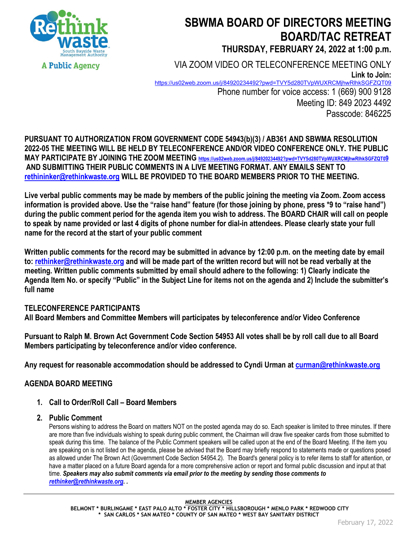

# **SBWMA BOARD OF DIRECTORS MEETING BOARD/TAC RETREAT THURSDAY, FEBRUARY 24, 2022 at 1:00 p.m.**

VIA ZOOM VIDEO OR TELECONFERENCE MEETING ONLY **Link to Join:** <https://us02web.zoom.us/j/84920234492?pwd=TVY5d280TVpWUXRCMjhwRlhkSGFZQT09> Phone number for voice access: 1 (669) 900 9128 Meeting ID: 849 2023 4492

Passcode: 846225

**PURSUANT TO AUTHORIZATION FROM GOVERNMENT CODE 54943(b)(3) / AB361 AND SBWMA RESOLUTION 2022-05 THE MEETING WILL BE HELD BY TELECONFERENCE AND/OR VIDEO CONFERENCE ONLY. THE PUBLIC MAY PARTICIPATE BY JOINING THE ZOOM MEETING<https://us02web.zoom.us/j/84920234492?pwd=TVY5d280TVpWUXRCMjhwRlhkSGFZQT09> AND SUBMITTING THEIR PUBLIC COMMENTS IN A LIVE MEETING FORMAT. ANY EMAILS SENT TO rethininker@rethinkwaste.org WILL BE PROVIDED TO THE BOARD MEMBERS PRIOR TO THE MEETING.**

**Live verbal public comments may be made by members of the public joining the meeting via Zoom. Zoom access information is provided above. Use the "raise hand" feature (for those joining by phone, press \*9 to "raise hand") during the public comment period for the agenda item you wish to address. The BOARD CHAIR will call on people to speak by name provided or last 4 digits of phone number for dial-in attendees. Please clearly state your full name for the record at the start of your public comment**

**Written public comments for the record may be submitted in advance by 12:00 p.m. on the meeting date by email to: rethinker@rethinkwaste.org and will be made part of the written record but will not be read verbally at the meeting. Written public comments submitted by email should adhere to the following: 1) Clearly indicate the Agenda Item No. or specify "Public" in the Subject Line for items not on the agenda and 2) Include the submitter's full name**

# **TELECONFERENCE PARTICIPANTS**

**All Board Members and Committee Members will participates by teleconference and/or Video Conference**

**Pursuant to Ralph M. Brown Act Government Code Section 54953 All votes shall be by roll call due to all Board Members participating by teleconference and/or video conference.**

**Any request for reasonable accommodation should be addressed to Cyndi Urman at [curman@rethinkwaste.org](mailto:curman@rethinkwaste.org)**

# **AGENDA BOARD MEETING**

**1. Call to Order/Roll Call – Board Members**

### **2. Public Comment**

Persons wishing to address the Board on matters NOT on the posted agenda may do so. Each speaker is limited to three minutes. If there are more than five individuals wishing to speak during public comment, the Chairman will draw five speaker cards from those submitted to speak during this time. The balance of the Public Comment speakers will be called upon at the end of the Board Meeting. If the item you are speaking on is not listed on the agenda, please be advised that the Board may briefly respond to statements made or questions posed as allowed under The Brown Act (Government Code Section 54954.2). The Board's general policy is to refer items to staff for attention, or have a matter placed on a future Board agenda for a more comprehensive action or report and formal public discussion and input at that time. *Speakers may also submit comments via email prior to the meeting by sending those comments to [rethinker@rethinkwaste.org.](mailto:rethinker@rethinkwaste.org) .*